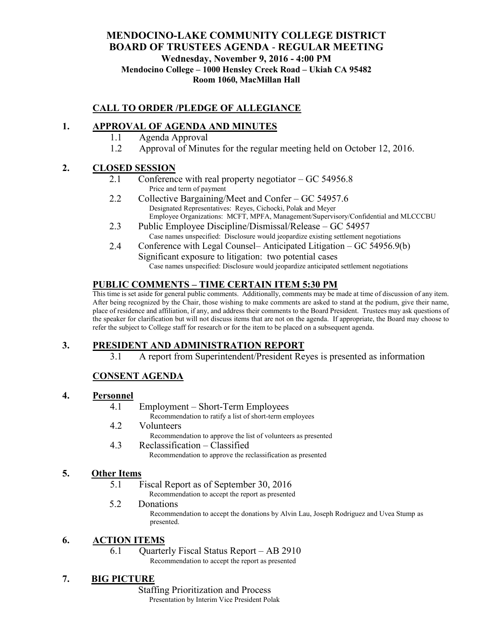#### **MENDOCINO-LAKE COMMUNITY COLLEGE DISTRICT BOARD OF TRUSTEES AGENDA** - **REGULAR MEETING Wednesday, November 9, 2016 - 4:00 PM Mendocino College – 1000 Hensley Creek Road – Ukiah CA 95482 Room 1060, MacMillan Hall**

## **CALL TO ORDER /PLEDGE OF ALLEGIANCE**

### **1. APPROVAL OF AGENDA AND MINUTES**

- 1.1 Agenda Approval
- 1.2 Approval of Minutes for the regular meeting held on October 12, 2016.

#### **2. CLOSED SESSION**

- 2.1 Conference with real property negotiator GC 54956.8 Price and term of payment
- 2.2 Collective Bargaining/Meet and Confer GC 54957.6 Designated Representatives: Reyes, Cichocki, Polak and Meyer Employee Organizations: MCFT, MPFA, Management/Supervisory/Confidential and MLCCCBU
- 2.3 Public Employee Discipline/Dismissal/Release GC 54957 Case names unspecified: Disclosure would jeopardize existing settlement negotiations
- 2.4 Conference with Legal Counsel– Anticipated Litigation GC 54956.9(b) Significant exposure to litigation: two potential cases Case names unspecified: Disclosure would jeopardize anticipated settlement negotiations

#### **PUBLIC COMMENTS – TIME CERTAIN ITEM 5:30 PM**

This time is set aside for general public comments. Additionally, comments may be made at time of discussion of any item. After being recognized by the Chair, those wishing to make comments are asked to stand at the podium, give their name, place of residence and affiliation, if any, and address their comments to the Board President. Trustees may ask questions of the speaker for clarification but will not discuss items that are not on the agenda. If appropriate, the Board may choose to refer the subject to College staff for research or for the item to be placed on a subsequent agenda.

# **3. PRESIDENT AND ADMINISTRATION REPORT**

3.1 A report from Superintendent/President Reyes is presented as information

# **CONSENT AGENDA**

#### **4. Personnel**

- 4.1 Employment Short-Term Employees Recommendation to ratify a list of short-term employees
- 4.2 Volunteers
	- Recommendation to approve the list of volunteers as presented
- 4.3 Reclassification Classified Recommendation to approve the reclassification as presented

#### **5. Other Items**

5.1 Fiscal Report as of September 30, 2016

Recommendation to accept the report as presented

5.2 Donations Recommendation to accept the donations by Alvin Lau, Joseph Rodriguez and Uvea Stump as presented.

#### **6. ACTION ITEMS**

6.1 Quarterly Fiscal Status Report – AB 2910 Recommendation to accept the report as presented

# **7. BIG PICTURE**

Staffing Prioritization and Process Presentation by Interim Vice President Polak